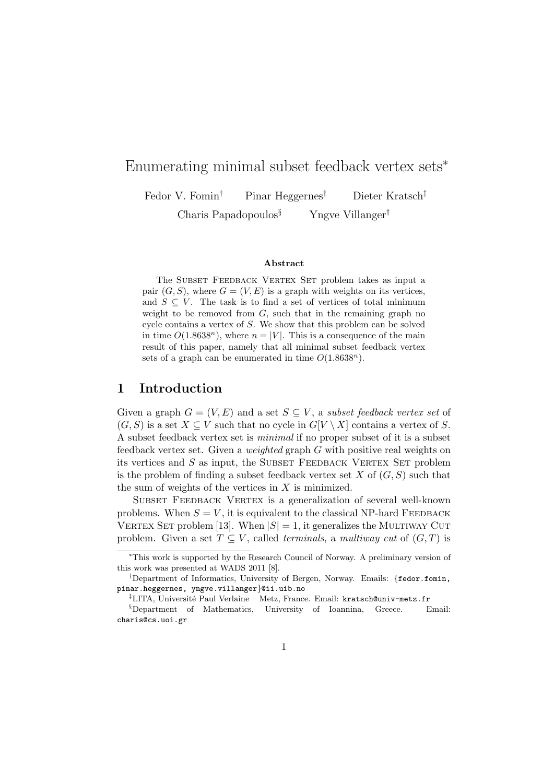# Enumerating minimal subset feedback vertex sets*<sup>∗</sup>*

Fedor V. Fomin*†* Pinar Heggernes*†* Dieter Kratsch*‡* Charis Papadopoulos*§* Yngve Villanger*†*

#### **Abstract**

The SUBSET FEEDBACK VERTEX SET problem takes as input a pair  $(G, S)$ , where  $G = (V, E)$  is a graph with weights on its vertices, and  $S \subseteq V$ . The task is to find a set of vertices of total minimum weight to be removed from *G*, such that in the remaining graph no cycle contains a vertex of *S*. We show that this problem can be solved in time  $O(1.8638^n)$ , where  $n = |V|$ . This is a consequence of the main result of this paper, namely that all minimal subset feedback vertex sets of a graph can be enumerated in time  $O(1.8638^n)$ .

### **1 Introduction**

Given a graph  $G = (V, E)$  and a set  $S \subseteq V$ , a *subset feedback vertex set* of  $(G, S)$  is a set  $X \subseteq V$  such that no cycle in  $G[V \setminus X]$  contains a vertex of *S*. A subset feedback vertex set is *minimal* if no proper subset of it is a subset feedback vertex set. Given a *weighted* graph *G* with positive real weights on its vertices and  $S$  as input, the SUBSET FEEDBACK VERTEX SET problem is the problem of finding a subset feedback vertex set *X* of (*G, S*) such that the sum of weights of the vertices in *X* is minimized.

SUBSET FEEDBACK VERTEX is a generalization of several well-known problems. When  $S = V$ , it is equivalent to the classical NP-hard FEEDBACK VERTEX SET problem [13]. When  $|S| = 1$ , it generalizes the MULTIWAY CUT problem. Given a set  $T \subseteq V$ , called *terminals*, a *multiway cut* of  $(G, T)$  is

*<sup>∗</sup>*This work is supported by the Research Council of Norway. A preliminary version of this work was presented at WADS 2011 [8].

*<sup>†</sup>*Department of Informatics, University of Bergen, Norway. Emails: *{*fedor.fomin, pinar.heggernes, yngve.villanger*}*@ii.uib.no

*<sup>‡</sup>*LITA, Universit´e Paul Verlaine – Metz, France. Email: kratsch@univ-metz.fr

*<sup>§</sup>*Department of Mathematics, University of Ioannina, Greece. Email: charis@cs.uoi.gr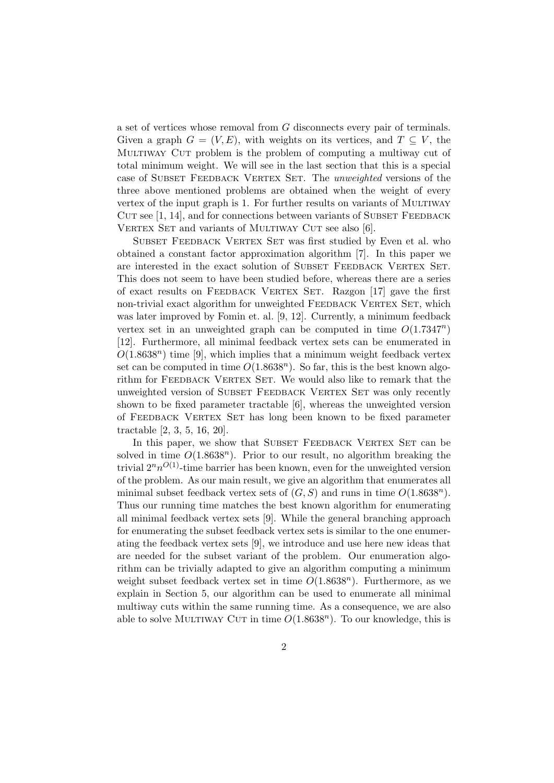a set of vertices whose removal from *G* disconnects every pair of terminals. Given a graph  $G = (V, E)$ , with weights on its vertices, and  $T \subseteq V$ , the Multiway Cut problem is the problem of computing a multiway cut of total minimum weight. We will see in the last section that this is a special case of Subset Feedback Vertex Set. The *unweighted* versions of the three above mentioned problems are obtained when the weight of every vertex of the input graph is 1. For further results on variants of MULTIWAY CUT see  $[1, 14]$ , and for connections between variants of SUBSET FEEDBACK VERTEX SET and variants of MULTIWAY CUT see also [6].

SUBSET FEEDBACK VERTEX SET was first studied by Even et al. who obtained a constant factor approximation algorithm [7]. In this paper we are interested in the exact solution of SUBSET FEEDBACK VERTEX SET. This does not seem to have been studied before, whereas there are a series of exact results on FEEDBACK VERTEX SET. Razgon [17] gave the first non-trivial exact algorithm for unweighted FEEDBACK VERTEX SET, which was later improved by Fomin et. al. [9, 12]. Currently, a minimum feedback vertex set in an unweighted graph can be computed in time  $O(1.7347^n)$ [12]. Furthermore, all minimal feedback vertex sets can be enumerated in  $O(1.8638^n)$  time [9], which implies that a minimum weight feedback vertex set can be computed in time  $O(1.8638^n)$ . So far, this is the best known algorithm for FEEDBACK VERTEX SET. We would also like to remark that the unweighted version of SUBSET FEEDBACK VERTEX SET was only recently shown to be fixed parameter tractable [6], whereas the unweighted version of Feedback Vertex Set has long been known to be fixed parameter tractable [2, 3, 5, 16, 20].

In this paper, we show that SUBSET FEEDBACK VERTEX SET can be solved in time  $O(1.8638^n)$ . Prior to our result, no algorithm breaking the trivial 2*nn <sup>O</sup>*(1)-time barrier has been known, even for the unweighted version of the problem. As our main result, we give an algorithm that enumerates all minimal subset feedback vertex sets of  $(G, S)$  and runs in time  $O(1.8638^n)$ . Thus our running time matches the best known algorithm for enumerating all minimal feedback vertex sets [9]. While the general branching approach for enumerating the subset feedback vertex sets is similar to the one enumerating the feedback vertex sets [9], we introduce and use here new ideas that are needed for the subset variant of the problem. Our enumeration algorithm can be trivially adapted to give an algorithm computing a minimum weight subset feedback vertex set in time  $O(1.8638^n)$ . Furthermore, as we explain in Section 5, our algorithm can be used to enumerate all minimal multiway cuts within the same running time. As a consequence, we are also able to solve MULTIWAY CUT in time  $O(1.8638^n)$ . To our knowledge, this is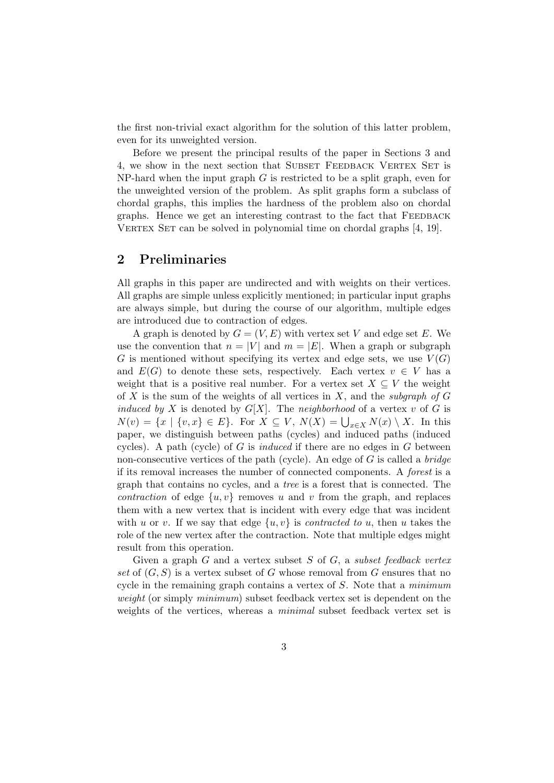the first non-trivial exact algorithm for the solution of this latter problem, even for its unweighted version.

Before we present the principal results of the paper in Sections 3 and 4, we show in the next section that SUBSET FEEDBACK VERTEX SET is NP-hard when the input graph *G* is restricted to be a split graph, even for the unweighted version of the problem. As split graphs form a subclass of chordal graphs, this implies the hardness of the problem also on chordal graphs. Hence we get an interesting contrast to the fact that FEEDBACK VERTEX SET can be solved in polynomial time on chordal graphs [4, 19].

# **2 Preliminaries**

All graphs in this paper are undirected and with weights on their vertices. All graphs are simple unless explicitly mentioned; in particular input graphs are always simple, but during the course of our algorithm, multiple edges are introduced due to contraction of edges.

A graph is denoted by  $G = (V, E)$  with vertex set V and edge set E. We use the convention that  $n = |V|$  and  $m = |E|$ . When a graph or subgraph *G* is mentioned without specifying its vertex and edge sets, we use  $V(G)$ and  $E(G)$  to denote these sets, respectively. Each vertex  $v \in V$  has a weight that is a positive real number. For a vertex set  $X \subseteq V$  the weight of *X* is the sum of the weights of all vertices in *X*, and the *subgraph of G induced by X* is denoted by  $G[X]$ . The *neighborhood* of a vertex *v* of *G* is  $N(v) = \{x \mid \{v, x\} \in E\}$ . For  $X \subseteq V$ ,  $N(X) = \bigcup_{x \in X} N(x) \setminus X$ . In this paper, we distinguish between paths (cycles) and induced paths (induced cycles). A path (cycle) of *G* is *induced* if there are no edges in *G* between non-consecutive vertices of the path (cycle). An edge of *G* is called a *bridge* if its removal increases the number of connected components. A *forest* is a graph that contains no cycles, and a *tree* is a forest that is connected. The *contraction* of edge  $\{u, v\}$  removes *u* and *v* from the graph, and replaces them with a new vertex that is incident with every edge that was incident with *u* or *v*. If we say that edge  $\{u, v\}$  is *contracted to u*, then *u* takes the role of the new vertex after the contraction. Note that multiple edges might result from this operation.

Given a graph *G* and a vertex subset *S* of *G*, a *subset feedback vertex set* of  $(G, S)$  is a vertex subset of *G* whose removal from *G* ensures that no cycle in the remaining graph contains a vertex of *S*. Note that a *minimum weight* (or simply *minimum*) subset feedback vertex set is dependent on the weights of the vertices, whereas a *minimal* subset feedback vertex set is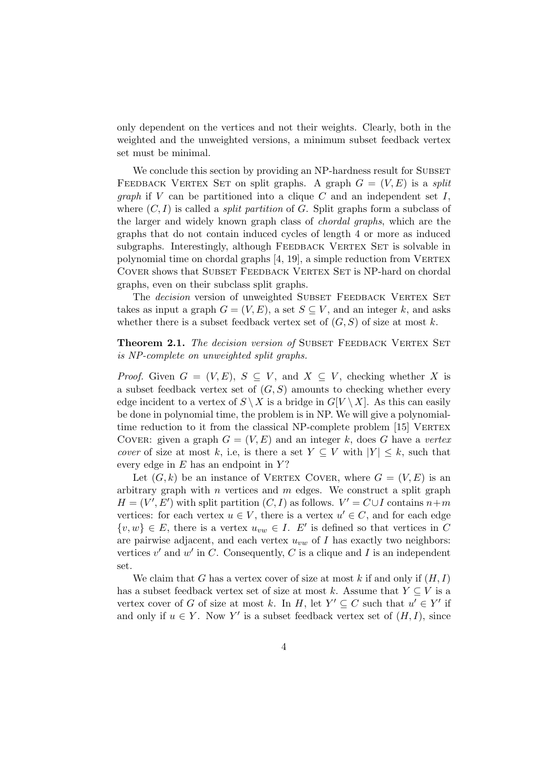only dependent on the vertices and not their weights. Clearly, both in the weighted and the unweighted versions, a minimum subset feedback vertex set must be minimal.

We conclude this section by providing an NP-hardness result for SUBSET FEEDBACK VERTEX SET on split graphs. A graph  $G = (V, E)$  is a *split graph* if *V* can be partitioned into a clique *C* and an independent set *I*, where  $(C, I)$  is called a *split partition* of  $G$ . Split graphs form a subclass of the larger and widely known graph class of *chordal graphs*, which are the graphs that do not contain induced cycles of length 4 or more as induced subgraphs. Interestingly, although FEEDBACK VERTEX SET is solvable in polynomial time on chordal graphs  $[4, 19]$ , a simple reduction from VERTEX COVER shows that SUBSET FEEDBACK VERTEX SET is NP-hard on chordal graphs, even on their subclass split graphs.

The *decision* version of unweighted SUBSET FEEDBACK VERTEX SET takes as input a graph  $G = (V, E)$ , a set  $S \subseteq V$ , and an integer k, and asks whether there is a subset feedback vertex set of (*G, S*) of size at most *k*.

#### **Theorem 2.1.** *The decision version of* SUBSET FEEDBACK VERTEX SET *is NP-complete on unweighted split graphs.*

*Proof.* Given  $G = (V, E)$ ,  $S \subseteq V$ , and  $X \subseteq V$ , checking whether X is a subset feedback vertex set of  $(G, S)$  amounts to checking whether every edge incident to a vertex of  $S \setminus X$  is a bridge in  $G[V \setminus X]$ . As this can easily be done in polynomial time, the problem is in NP. We will give a polynomialtime reduction to it from the classical NP-complete problem [15] VERTEX COVER: given a graph  $G = (V, E)$  and an integer k, does G have a *vertex cover* of size at most *k*, i.e, is there a set  $Y \subseteq V$  with  $|Y| \leq k$ , such that every edge in *E* has an endpoint in *Y* ?

Let  $(G, k)$  be an instance of VERTEX COVER, where  $G = (V, E)$  is an arbitrary graph with *n* vertices and *m* edges. We construct a split graph  $H = (V', E')$  with split partition  $(C, I)$  as follows.  $V' = C \cup I$  contains  $n+m$ vertices: for each vertex  $u \in V$ , there is a vertex  $u' \in C$ , and for each edge  $\{v, w\} \in E$ , there is a vertex  $u_{vw} \in I$ . *E'* is defined so that vertices in *C* are pairwise adjacent, and each vertex  $u_{vw}$  of  $I$  has exactly two neighbors: vertices  $v'$  and  $w'$  in  $C$ . Consequently,  $C$  is a clique and  $I$  is an independent set.

We claim that *G* has a vertex cover of size at most  $k$  if and only if  $(H, I)$ has a subset feedback vertex set of size at most *k*. Assume that  $Y \subseteq V$  is a vertex cover of *G* of size at most *k*. In *H*, let  $Y' \subseteq C$  such that  $u' \in Y'$  if and only if  $u \in Y$ . Now Y' is a subset feedback vertex set of  $(H, I)$ , since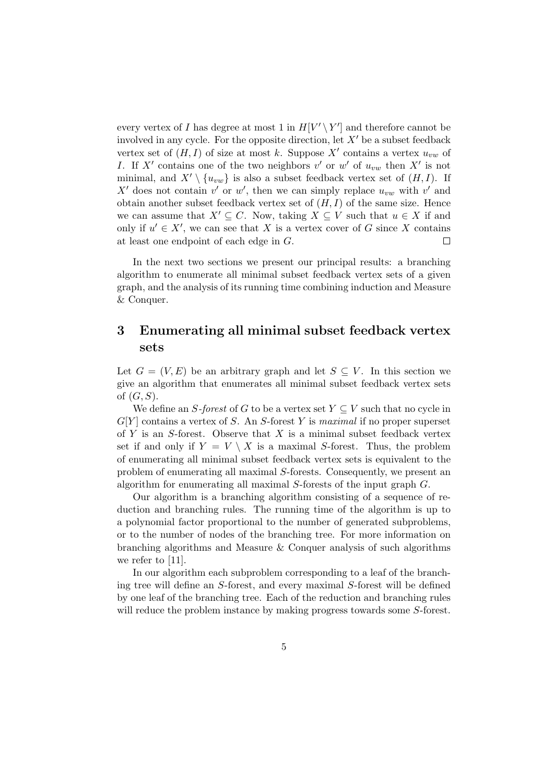every vertex of *I* has degree at most 1 in  $H[V' \setminus Y']$  and therefore cannot be involved in any cycle. For the opposite direction, let *X′* be a subset feedback vertex set of  $(H, I)$  of size at most *k*. Suppose X' contains a vertex  $u_{vw}$  of *I*. If  $X'$  contains one of the two neighbors  $v'$  or  $w'$  of  $u_{vw}$  then  $X'$  is not minimal, and  $X' \setminus \{u_{vw}\}\$ is also a subset feedback vertex set of  $(H, I)$ . If *X*<sup> $\prime$ </sup> does not contain *v*<sup> $\prime$ </sup> or *w*<sup> $\prime$ </sup>, then we can simply replace  $u_{vw}$  with *v*<sup> $\prime$ </sup> and obtain another subset feedback vertex set of (*H, I*) of the same size. Hence we can assume that  $X' \subseteq C$ . Now, taking  $X \subseteq V$  such that  $u \in X$  if and only if  $u' \in X'$ , we can see that X is a vertex cover of G since X contains at least one endpoint of each edge in *G*.  $\Box$ 

In the next two sections we present our principal results: a branching algorithm to enumerate all minimal subset feedback vertex sets of a given graph, and the analysis of its running time combining induction and Measure & Conquer.

# **3 Enumerating all minimal subset feedback vertex sets**

Let  $G = (V, E)$  be an arbitrary graph and let  $S \subseteq V$ . In this section we give an algorithm that enumerates all minimal subset feedback vertex sets of (*G, S*).

We define an *S*-forest of *G* to be a vertex set  $Y \subseteq V$  such that no cycle in *G*[*Y* ] contains a vertex of *S*. An *S*-forest *Y* is *maximal* if no proper superset of *Y* is an *S*-forest. Observe that *X* is a minimal subset feedback vertex set if and only if  $Y = V \setminus X$  is a maximal *S*-forest. Thus, the problem of enumerating all minimal subset feedback vertex sets is equivalent to the problem of enumerating all maximal *S*-forests. Consequently, we present an algorithm for enumerating all maximal *S*-forests of the input graph *G*.

Our algorithm is a branching algorithm consisting of a sequence of reduction and branching rules. The running time of the algorithm is up to a polynomial factor proportional to the number of generated subproblems, or to the number of nodes of the branching tree. For more information on branching algorithms and Measure & Conquer analysis of such algorithms we refer to [11].

In our algorithm each subproblem corresponding to a leaf of the branching tree will define an *S*-forest, and every maximal *S*-forest will be defined by one leaf of the branching tree. Each of the reduction and branching rules will reduce the problem instance by making progress towards some *S*-forest.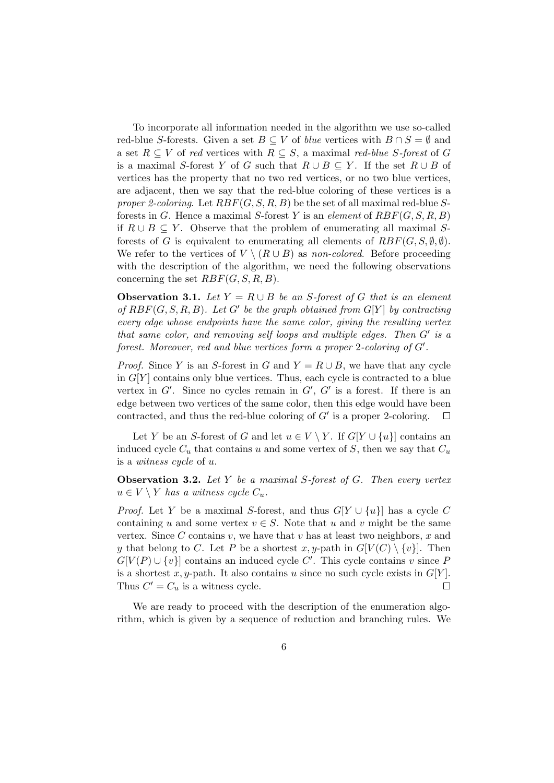To incorporate all information needed in the algorithm we use so-called red-blue *S*-forests. Given a set  $B \subseteq V$  of *blue* vertices with  $B \cap S = \emptyset$  and a set  $R \subseteq V$  of *red* vertices with  $R \subseteq S$ , a maximal *red-blue S*-forest of *G* is a maximal *S*-forest *Y* of *G* such that  $R \cup B \subseteq Y$ . If the set  $R \cup B$  of vertices has the property that no two red vertices, or no two blue vertices, are adjacent, then we say that the red-blue coloring of these vertices is a *proper 2-coloring*. Let *RBF*(*G, S, R, B*) be the set of all maximal red-blue *S*forests in *G*. Hence a maximal *S*-forest *Y* is an *element* of *RBF*(*G, S, R, B*) if *R ∪ B ⊆ Y* . Observe that the problem of enumerating all maximal *S*forests of *G* is equivalent to enumerating all elements of  $RBF(G, S, \emptyset, \emptyset)$ . We refer to the vertices of  $V \setminus (R \cup B)$  as *non-colored*. Before proceeding with the description of the algorithm, we need the following observations concerning the set *RBF*(*G, S, R, B*).

**Observation 3.1.** *Let*  $Y = R \cup B$  *be an S*-forest of *G* that is an element *of*  $RBF(G, S, R, B)$ *. Let*  $G'$  *be the graph obtained from*  $G[Y]$  *by contracting every edge whose endpoints have the same color, giving the resulting vertex that same color, and removing self loops and multiple edges. Then G′ is a forest. Moreover, red and blue vertices form a proper* 2*-coloring of G′ .*

*Proof.* Since *Y* is an *S*-forest in *G* and  $Y = R \cup B$ , we have that any cycle in  $G[Y]$  contains only blue vertices. Thus, each cycle is contracted to a blue vertex in  $G'$ . Since no cycles remain in  $G'$ ,  $G'$  is a forest. If there is an edge between two vertices of the same color, then this edge would have been contracted, and thus the red-blue coloring of *G′* is a proper 2-coloring.  $\Box$ 

Let *Y* be an *S*-forest of *G* and let  $u \in V \setminus Y$ . If  $G[Y \cup \{u\}]$  contains an induced cycle  $C_u$  that contains *u* and some vertex of *S*, then we say that  $C_u$ is a *witness cycle* of *u*.

**Observation 3.2.** *Let Y be a maximal S-forest of G. Then every vertex u* ∈ *V*  $\setminus$  *Y has a witness cycle*  $C_u$ *.* 

*Proof.* Let *Y* be a maximal *S*-forest, and thus  $G[Y \cup \{u\}]$  has a cycle *C* containing *u* and some vertex  $v \in S$ . Note that *u* and *v* might be the same vertex. Since *C* contains *v*, we have that *v* has at least two neighbors, *x* and *y* that belong to *C*. Let *P* be a shortest *x*, *y*-path in  $G[V(C) \setminus \{v\}]$ . Then  $G[V(P) \cup \{v\}]$  contains an induced cycle *C'*. This cycle contains *v* since *P* is a shortest  $x, y$ -path. It also contains  $u$  since no such cycle exists in  $G[Y]$ . Thus  $C' = C_u$  is a witness cycle.  $\Box$ 

We are ready to proceed with the description of the enumeration algorithm, which is given by a sequence of reduction and branching rules. We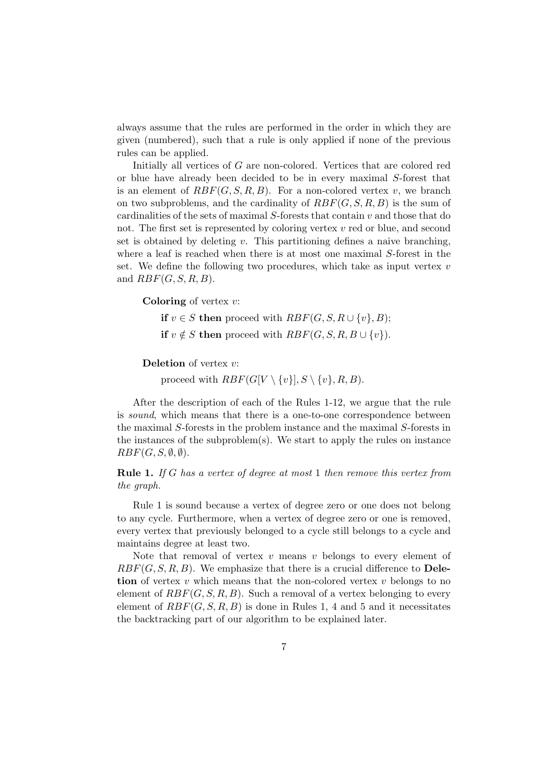always assume that the rules are performed in the order in which they are given (numbered), such that a rule is only applied if none of the previous rules can be applied.

Initially all vertices of *G* are non-colored. Vertices that are colored red or blue have already been decided to be in every maximal *S*-forest that is an element of  $RBF(G, S, R, B)$ . For a non-colored vertex *v*, we branch on two subproblems, and the cardinality of *RBF*(*G, S, R, B*) is the sum of cardinalities of the sets of maximal *S*-forests that contain *v* and those that do not. The first set is represented by coloring vertex *v* red or blue, and second set is obtained by deleting *v*. This partitioning defines a naive branching, where a leaf is reached when there is at most one maximal *S*-forest in the set. We define the following two procedures, which take as input vertex *v* and *RBF*(*G, S, R, B*).

**Coloring** of vertex *v*:

**if**  $v \in S$  **then** proceed with  $RBF(G, S, R \cup \{v\}, B);$ **if**  $v \notin S$  **then** proceed with  $RBF(G, S, R, B \cup \{v\})$ .

**Deletion** of vertex *v*:

proceed with  $RBF(G[V \setminus \{v\}], S \setminus \{v\}, R, B)$ .

After the description of each of the Rules 1-12, we argue that the rule is *sound*, which means that there is a one-to-one correspondence between the maximal *S*-forests in the problem instance and the maximal *S*-forests in the instances of the subproblem(s). We start to apply the rules on instance  $RBF(G, S, \emptyset, \emptyset).$ 

**Rule 1.** *If G has a vertex of degree at most* 1 *then remove this vertex from the graph.*

Rule 1 is sound because a vertex of degree zero or one does not belong to any cycle. Furthermore, when a vertex of degree zero or one is removed, every vertex that previously belonged to a cycle still belongs to a cycle and maintains degree at least two.

Note that removal of vertex *v* means *v* belongs to every element of *RBF*(*G, S, R, B*). We emphasize that there is a crucial difference to **Deletion** of vertex *v* which means that the non-colored vertex *v* belongs to no element of  $RBF(G, S, R, B)$ . Such a removal of a vertex belonging to every element of  $RBF(G, S, R, B)$  is done in Rules 1, 4 and 5 and it necessitates the backtracking part of our algorithm to be explained later.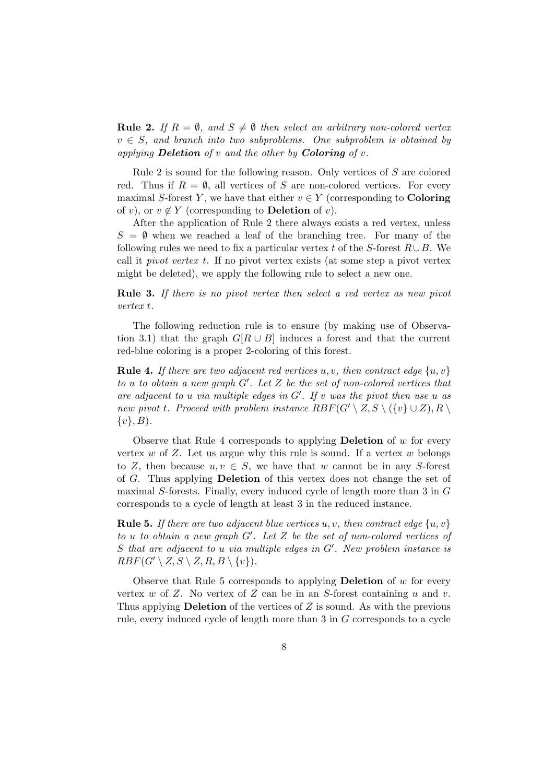**Rule 2.** If  $R = \emptyset$ , and  $S \neq \emptyset$  then select an arbitrary non-colored vertex *v ∈ S, and branch into two subproblems. One subproblem is obtained by applying Deletion of v and the other by Coloring of v.*

Rule 2 is sound for the following reason. Only vertices of *S* are colored red. Thus if  $R = \emptyset$ , all vertices of *S* are non-colored vertices. For every maximal *S*-forest *Y*, we have that either  $v \in Y$  (corresponding to **Coloring** of *v*), or  $v \notin Y$  (corresponding to **Deletion** of *v*).

After the application of Rule 2 there always exists a red vertex, unless  $S = \emptyset$  when we reached a leaf of the branching tree. For many of the following rules we need to fix a particular vertex *t* of the *S*-forest *R∪B*. We call it *pivot vertex t*. If no pivot vertex exists (at some step a pivot vertex might be deleted), we apply the following rule to select a new one.

**Rule 3.** *If there is no pivot vertex then select a red vertex as new pivot vertex t.*

The following reduction rule is to ensure (by making use of Observation 3.1) that the graph  $G[R \cup B]$  induces a forest and that the current red-blue coloring is a proper 2-coloring of this forest.

**Rule 4.** If there are two adjacent red vertices  $u, v$ , then contract edge  $\{u, v\}$ *to u to obtain a new graph G′ . Let Z be the set of non-colored vertices that are adjacent to u via multiple edges in G′ . If v was the pivot then use u as new pivot t. Proceed with problem instance*  $RBF(G' \setminus Z, S \setminus (\{v\} \cup Z), R \setminus \{v\})$ *{v}, B*)*.*

Observe that Rule 4 corresponds to applying **Deletion** of *w* for every vertex *w* of *Z*. Let us argue why this rule is sound. If a vertex *w* belongs to *Z*, then because  $u, v \in S$ , we have that *w* cannot be in any *S*-forest of *G*. Thus applying **Deletion** of this vertex does not change the set of maximal *S*-forests. Finally, every induced cycle of length more than 3 in *G* corresponds to a cycle of length at least 3 in the reduced instance.

**Rule 5.** If there are two adjacent blue vertices  $u, v$ , then contract edge  $\{u, v\}$ *to u to obtain a new graph G′ . Let Z be the set of non-colored vertices of S that are adjacent to u via multiple edges in G′ . New problem instance is RBF*( $G' \setminus Z$ ,  $S \setminus Z$ ,  $R$ ,  $B \setminus \{v\}$ ).

Observe that Rule 5 corresponds to applying **Deletion** of *w* for every vertex *w* of *Z*. No vertex of *Z* can be in an *S*-forest containing *u* and *v*. Thus applying **Deletion** of the vertices of *Z* is sound. As with the previous rule, every induced cycle of length more than 3 in *G* corresponds to a cycle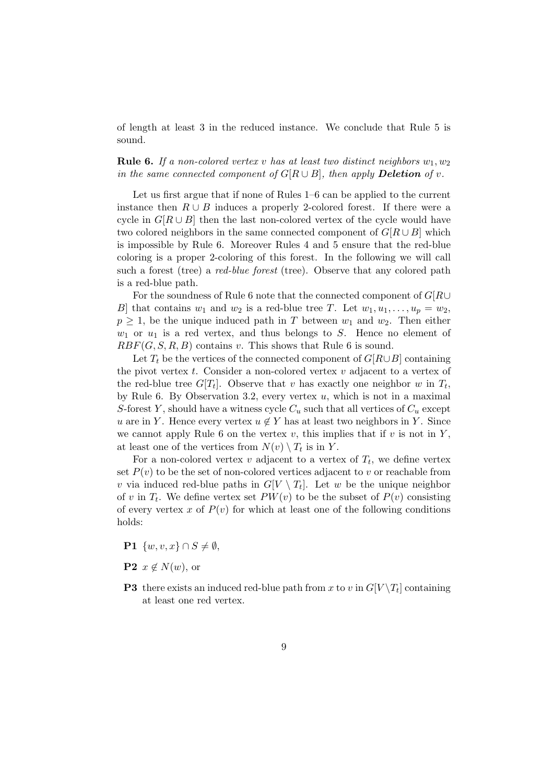of length at least 3 in the reduced instance. We conclude that Rule 5 is sound.

**Rule 6.** *If a non-colored vertex v has at least two distinct neighbors w*1*, w*<sup>2</sup> *in the same connected component of*  $G[R \cup B]$ *, then apply Deletion of v.* 

Let us first argue that if none of Rules 1–6 can be applied to the current instance then  $R \cup B$  induces a properly 2-colored forest. If there were a cycle in  $G[R \cup B]$  then the last non-colored vertex of the cycle would have two colored neighbors in the same connected component of  $G[R \cup B]$  which is impossible by Rule 6. Moreover Rules 4 and 5 ensure that the red-blue coloring is a proper 2-coloring of this forest. In the following we will call such a forest (tree) a *red-blue forest* (tree). Observe that any colored path is a red-blue path.

For the soundness of Rule 6 note that the connected component of *G*[*R∪ B*] that contains  $w_1$  and  $w_2$  is a red-blue tree *T*. Let  $w_1, u_1, \ldots, u_p = w_2$ ,  $p \geq 1$ , be the unique induced path in *T* between  $w_1$  and  $w_2$ . Then either *w*<sup>1</sup> or *u*<sup>1</sup> is a red vertex, and thus belongs to *S*. Hence no element of *RBF*(*G, S, R, B*) contains *v*. This shows that Rule 6 is sound.

Let  $T_t$  be the vertices of the connected component of  $G[R\cup B]$  containing the pivot vertex *t*. Consider a non-colored vertex *v* adjacent to a vertex of the red-blue tree  $G[T_t]$ . Observe that *v* has exactly one neighbor *w* in  $T_t$ , by Rule 6. By Observation 3.2, every vertex *u*, which is not in a maximal *S*-forest *Y*, should have a witness cycle  $C_u$  such that all vertices of  $C_u$  except *u* are in *Y*. Hence every vertex  $u \notin Y$  has at least two neighbors in *Y*. Since we cannot apply Rule 6 on the vertex  $v$ , this implies that if  $v$  is not in  $Y$ , at least one of the vertices from  $N(v) \setminus T_t$  is in *Y*.

For a non-colored vertex  $v$  adjacent to a vertex of  $T_t$ , we define vertex set  $P(v)$  to be the set of non-colored vertices adjacent to *v* or reachable from *v* via induced red-blue paths in  $G[V \setminus T_t]$ . Let *w* be the unique neighbor of *v* in  $T_t$ . We define vertex set  $PW(v)$  to be the subset of  $P(v)$  consisting of every vertex  $x$  of  $P(v)$  for which at least one of the following conditions holds:

- **P1**  $\{w, v, x\} ∩ S ≠ ∅$ .
- **P2**  $x \notin N(w)$ , or
- **P3** there exists an induced red-blue path from *x* to *v* in  $G[V \setminus T_t]$  containing at least one red vertex.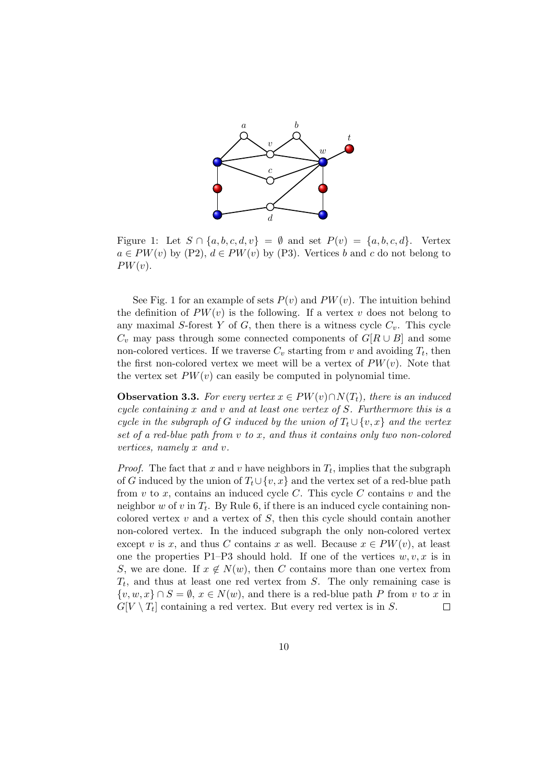

Figure 1: Let  $S \cap \{a, b, c, d, v\} = \emptyset$  and set  $P(v) = \{a, b, c, d\}$ . Vertex  $a \in PW(v)$  by (P2),  $d \in PW(v)$  by (P3). Vertices *b* and *c* do not belong to *PW*(*v*).

See Fig. 1 for an example of sets  $P(v)$  and  $PW(v)$ . The intuition behind the definition of  $PW(v)$  is the following. If a vertex v does not belong to any maximal *S*-forest *Y* of *G*, then there is a witness cycle  $C_v$ . This cycle  $C_v$  may pass through some connected components of  $G[R \cup B]$  and some non-colored vertices. If we traverse  $C_v$  starting from  $v$  and avoiding  $T_t$ , then the first non-colored vertex we meet will be a vertex of  $PW(v)$ . Note that the vertex set  $PW(v)$  can easily be computed in polynomial time.

**Observation 3.3.** For every vertex  $x \in PW(v) \cap N(T_t)$ , there is an induced *cycle containing x and v and at least one vertex of S. Furthermore this is a cycle in the subgraph of G induced by the union of*  $T_t \cup \{v, x\}$  *and the vertex set of a red-blue path from v to x, and thus it contains only two non-colored vertices, namely x and v.*

*Proof.* The fact that  $x$  and  $v$  have neighbors in  $T_t$ , implies that the subgraph of *G* induced by the union of  $T_t \cup \{v, x\}$  and the vertex set of a red-blue path from *v* to *x*, contains an induced cycle *C*. This cycle *C* contains *v* and the neighbor  $w$  of  $v$  in  $T_t$ . By Rule 6, if there is an induced cycle containing noncolored vertex *v* and a vertex of *S*, then this cycle should contain another non-colored vertex. In the induced subgraph the only non-colored vertex except *v* is *x*, and thus *C* contains *x* as well. Because  $x \in PW(v)$ , at least one the properties P1–P3 should hold. If one of the vertices  $w, v, x$  is in *S*, we are done. If  $x \notin N(w)$ , then *C* contains more than one vertex from *Tt* , and thus at least one red vertex from *S*. The only remaining case is *{v, w, x}* ∩ *S* =  $\emptyset$ , *x* ∈ *N*(*w*), and there is a red-blue path *P* from *v* to *x* in  $G[V \setminus T_t]$  containing a red vertex. But every red vertex is in *S*.  $\Box$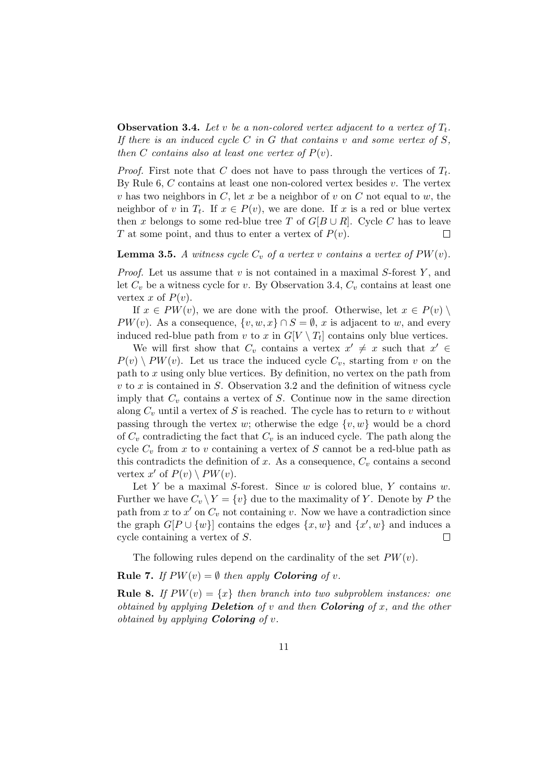**Observation 3.4.** Let *v* be a non-colored vertex adjacent to a vertex of  $T_t$ . *If there is an induced cycle C in G that contains v and some vertex of S, then C contains also at least one vertex of*  $P(v)$ *.* 

*Proof.* First note that *C* does not have to pass through the vertices of *T<sup>t</sup>* . By Rule 6, *C* contains at least one non-colored vertex besides *v*. The vertex *v* has two neighbors in *C*, let *x* be a neighbor of *v* on *C* not equal to *w*, the neighbor of *v* in  $T_t$ . If  $x \in P(v)$ , we are done. If *x* is a red or blue vertex then *x* belongs to some red-blue tree *T* of  $G[B \cup R]$ . Cycle *C* has to leave *T* at some point, and thus to enter a vertex of *P*(*v*).  $\Box$ 

**Lemma 3.5.** *A witness cycle*  $C_v$  *of a vertex v contains a vertex of*  $PW(v)$ *.* 

*Proof.* Let us assume that *v* is not contained in a maximal *S*-forest *Y* , and let  $C_v$  be a witness cycle for *v*. By Observation 3.4,  $C_v$  contains at least one vertex  $x$  of  $P(v)$ .

If  $x \in PW(v)$ , we are done with the proof. Otherwise, let  $x \in P(v) \setminus$ *PW*(*v*). As a consequence,  $\{v, w, x\} \cap S = \emptyset$ , *x* is adjacent to *w*, and every induced red-blue path from *v* to *x* in  $G[V \setminus T_t]$  contains only blue vertices.

We will first show that  $C_v$  contains a vertex  $x' \neq x$  such that  $x' \in C_v$  $P(v) \setminus PW(v)$ . Let us trace the induced cycle  $C_v$ , starting from *v* on the path to *x* using only blue vertices. By definition, no vertex on the path from *v* to *x* is contained in *S*. Observation 3.2 and the definition of witness cycle imply that  $C_v$  contains a vertex of  $S$ . Continue now in the same direction along *C<sup>v</sup>* until a vertex of *S* is reached. The cycle has to return to *v* without passing through the vertex *w*; otherwise the edge  $\{v, w\}$  would be a chord of  $C_v$  contradicting the fact that  $C_v$  is an induced cycle. The path along the cycle *C<sup>v</sup>* from *x* to *v* containing a vertex of *S* cannot be a red-blue path as this contradicts the definition of  $x$ . As a consequence,  $C_v$  contains a second vertex  $x'$  of  $P(v) \setminus PW(v)$ .

Let *Y* be a maximal *S*-forest. Since *w* is colored blue, *Y* contains *w*. Further we have  $C_v \backslash Y = \{v\}$  due to the maximality of *Y*. Denote by *P* the path from  $x$  to  $x'$  on  $C_v$  not containing  $v$ . Now we have a contradiction since the graph  $G[P \cup \{w\}]$  contains the edges  $\{x, w\}$  and  $\{x', w\}$  and induces a cycle containing a vertex of *S*.  $\Box$ 

The following rules depend on the cardinality of the set *PW*(*v*).

**Rule 7.** *If*  $PW(v) = \emptyset$  *then apply Coloring of <i>v*.

**Rule 8.** *If*  $PW(v) = \{x\}$  *then branch into two subproblem instances: one obtained by applying Deletion of v and then Coloring of x, and the other obtained by applying Coloring of v.*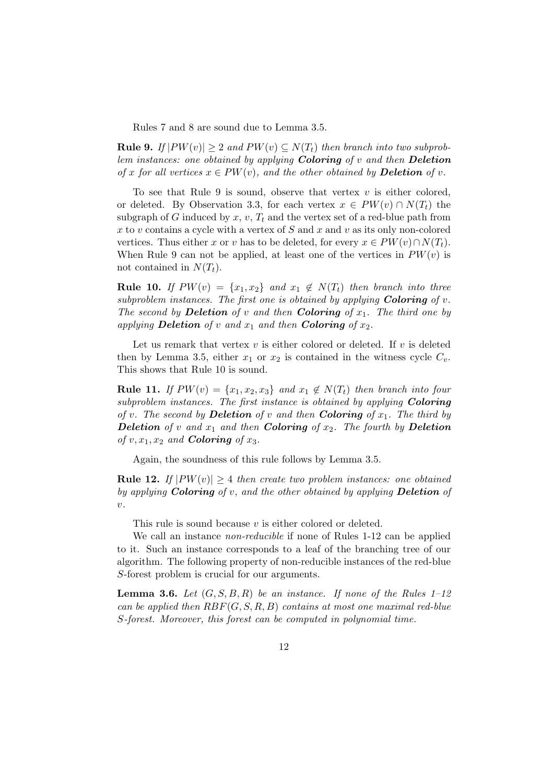Rules 7 and 8 are sound due to Lemma 3.5.

**Rule 9.** *If*  $|PW(v)| \geq 2$  *and*  $PW(v) \subseteq N(T_t)$  *then branch into two subproblem instances: one obtained by applying Coloring of v and then Deletion of x for all vertices*  $x \in PW(v)$ *, and the other obtained by Deletion of v.* 

To see that Rule 9 is sound, observe that vertex *v* is either colored, or deleted. By Observation 3.3, for each vertex  $x \in PW(v) \cap N(T_t)$  the subgraph of *G* induced by  $x, v, T_t$  and the vertex set of a red-blue path from *x* to *v* contains a cycle with a vertex of *S* and *x* and *v* as its only non-colored vertices. Thus either *x* or *v* has to be deleted, for every  $x \in PW(v) \cap N(T_t)$ . When Rule 9 can not be applied, at least one of the vertices in  $PW(v)$  is not contained in  $N(T_t)$ .

**Rule 10.** *If*  $PW(v) = \{x_1, x_2\}$  and  $x_1 \notin N(T_t)$  then branch into three *subproblem instances. The first one is obtained by applying Coloring of v. The second by Deletion of <i>v and then Coloring* of  $x_1$ . The third one by *applying Deletion of v and x*<sup>1</sup> *and then Coloring of x*2*.*

Let us remark that vertex *v* is either colored or deleted. If *v* is deleted then by Lemma 3.5, either  $x_1$  or  $x_2$  is contained in the witness cycle  $C_v$ . This shows that Rule 10 is sound.

**Rule 11.** *If*  $PW(v) = \{x_1, x_2, x_3\}$  *and*  $x_1 \notin N(T_t)$  *then branch into four subproblem instances. The first instance is obtained by applying Coloring of v. The second by Deletion of v and then Coloring of x*1*. The third by Deletion of v and x*<sup>1</sup> *and then Coloring of x*2*. The fourth by Deletion of*  $v, x_1, x_2$  *and Coloring of*  $x_3$ *.* 

Again, the soundness of this rule follows by Lemma 3.5.

**Rule 12.** *If*  $|PW(v)| \geq 4$  *then create two problem instances: one obtained by applying Coloring of v, and the other obtained by applying Deletion of v.*

This rule is sound because *v* is either colored or deleted.

We call an instance *non-reducible* if none of Rules 1-12 can be applied to it. Such an instance corresponds to a leaf of the branching tree of our algorithm. The following property of non-reducible instances of the red-blue *S*-forest problem is crucial for our arguments.

**Lemma 3.6.** *Let*  $(G, S, B, R)$  *be an instance. If none of the Rules 1-12 can be applied then RBF*(*G, S, R, B*) *contains at most one maximal red-blue S-forest. Moreover, this forest can be computed in polynomial time.*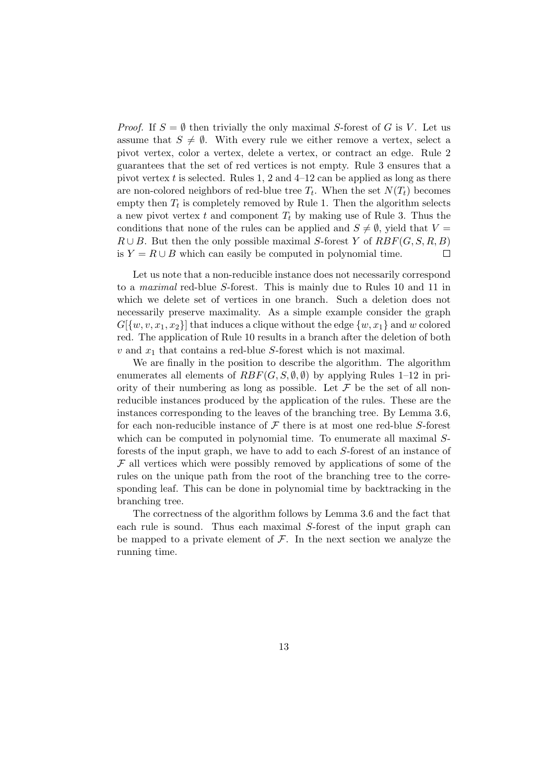*Proof.* If  $S = \emptyset$  then trivially the only maximal *S*-forest of *G* is *V*. Let us assume that  $S \neq \emptyset$ . With every rule we either remove a vertex, select a pivot vertex, color a vertex, delete a vertex, or contract an edge. Rule 2 guarantees that the set of red vertices is not empty. Rule 3 ensures that a pivot vertex *t* is selected. Rules 1, 2 and 4–12 can be applied as long as there are non-colored neighbors of red-blue tree  $T_t$ . When the set  $N(T_t)$  becomes empty then  $T_t$  is completely removed by Rule 1. Then the algorithm selects a new pivot vertex *t* and component *T<sup>t</sup>* by making use of Rule 3. Thus the conditions that none of the rules can be applied and  $S \neq \emptyset$ , yield that  $V =$ *R*∪*B*. But then the only possible maximal *S*-forest *Y* of  $RBF(G, S, R, B)$ is  $Y = R \cup B$  which can easily be computed in polynomial time.  $\Box$ 

Let us note that a non-reducible instance does not necessarily correspond to a *maximal* red-blue *S*-forest. This is mainly due to Rules 10 and 11 in which we delete set of vertices in one branch. Such a deletion does not necessarily preserve maximality. As a simple example consider the graph  $G[\{w, v, x_1, x_2\}]$  that induces a clique without the edge  $\{w, x_1\}$  and *w* colored red. The application of Rule 10 results in a branch after the deletion of both *v* and *x*<sup>1</sup> that contains a red-blue *S*-forest which is not maximal.

We are finally in the position to describe the algorithm. The algorithm enumerates all elements of  $RBF(G, S, \emptyset, \emptyset)$  by applying Rules 1–12 in priority of their numbering as long as possible. Let  $\mathcal F$  be the set of all nonreducible instances produced by the application of the rules. These are the instances corresponding to the leaves of the branching tree. By Lemma 3.6, for each non-reducible instance of *F* there is at most one red-blue *S*-forest which can be computed in polynomial time. To enumerate all maximal *S*forests of the input graph, we have to add to each *S*-forest of an instance of *F* all vertices which were possibly removed by applications of some of the rules on the unique path from the root of the branching tree to the corresponding leaf. This can be done in polynomial time by backtracking in the branching tree.

The correctness of the algorithm follows by Lemma 3.6 and the fact that each rule is sound. Thus each maximal *S*-forest of the input graph can be mapped to a private element of  $\mathcal F$ . In the next section we analyze the running time.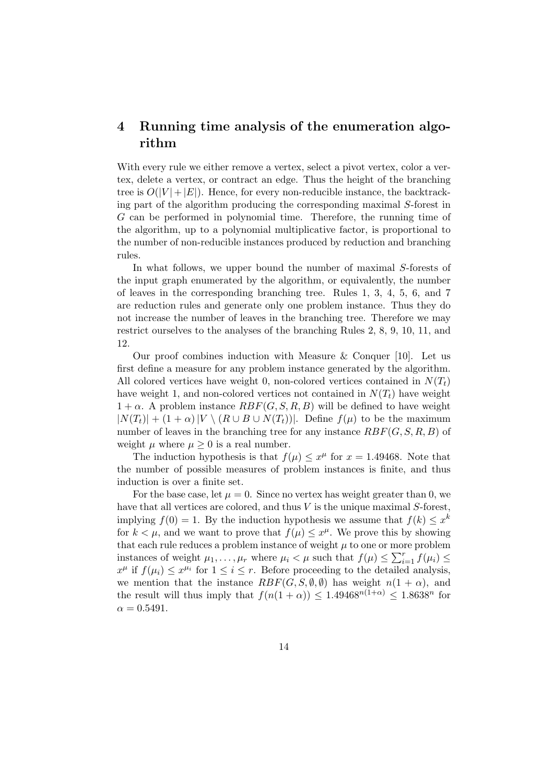# **4 Running time analysis of the enumeration algorithm**

With every rule we either remove a vertex, select a pivot vertex, color a vertex, delete a vertex, or contract an edge. Thus the height of the branching tree is  $O(|V| + |E|)$ . Hence, for every non-reducible instance, the backtracking part of the algorithm producing the corresponding maximal *S*-forest in *G* can be performed in polynomial time. Therefore, the running time of the algorithm, up to a polynomial multiplicative factor, is proportional to the number of non-reducible instances produced by reduction and branching rules.

In what follows, we upper bound the number of maximal *S*-forests of the input graph enumerated by the algorithm, or equivalently, the number of leaves in the corresponding branching tree. Rules 1, 3, 4, 5, 6, and 7 are reduction rules and generate only one problem instance. Thus they do not increase the number of leaves in the branching tree. Therefore we may restrict ourselves to the analyses of the branching Rules 2, 8, 9, 10, 11, and 12.

Our proof combines induction with Measure  $&$  Conquer [10]. Let us first define a measure for any problem instance generated by the algorithm. All colored vertices have weight 0, non-colored vertices contained in  $N(T_t)$ have weight 1, and non-colored vertices not contained in  $N(T_t)$  have weight  $1 + \alpha$ . A problem instance  $RBF(G, S, R, B)$  will be defined to have weight  $|N(T_t)| + (1 + \alpha)|V \setminus (R \cup B \cup N(T_t))|$ . Define  $f(\mu)$  to be the maximum number of leaves in the branching tree for any instance *RBF*(*G, S, R, B*) of weight  $\mu$  where  $\mu \geq 0$  is a real number.

The induction hypothesis is that  $f(\mu) \leq x^{\mu}$  for  $x = 1.49468$ . Note that the number of possible measures of problem instances is finite, and thus induction is over a finite set.

For the base case, let  $\mu = 0$ . Since no vertex has weight greater than 0, we have that all vertices are colored, and thus *V* is the unique maximal *S*-forest, implying  $f(0) = 1$ . By the induction hypothesis we assume that  $f(k) \leq x^k$ for  $k < \mu$ , and we want to prove that  $f(\mu) \leq x^{\mu}$ . We prove this by showing that each rule reduces a problem instance of weight  $\mu$  to one or more problem instances of weight  $\mu_1, \ldots, \mu_r$  where  $\mu_i < \mu$  such that  $f(\mu) \le \sum_{i=1}^r f(\mu_i) \le$  $x^{\mu}$  if  $f(\mu_i) \leq x^{\mu_i}$  for  $1 \leq i \leq r$ . Before proceeding to the detailed analysis, we mention that the instance  $RBF(G, S, \emptyset, \emptyset)$  has weight  $n(1 + \alpha)$ , and the result will thus imply that  $f(n(1 + \alpha)) \leq 1.49468^{n(1+\alpha)} \leq 1.8638^n$  for  $\alpha = 0.5491$ .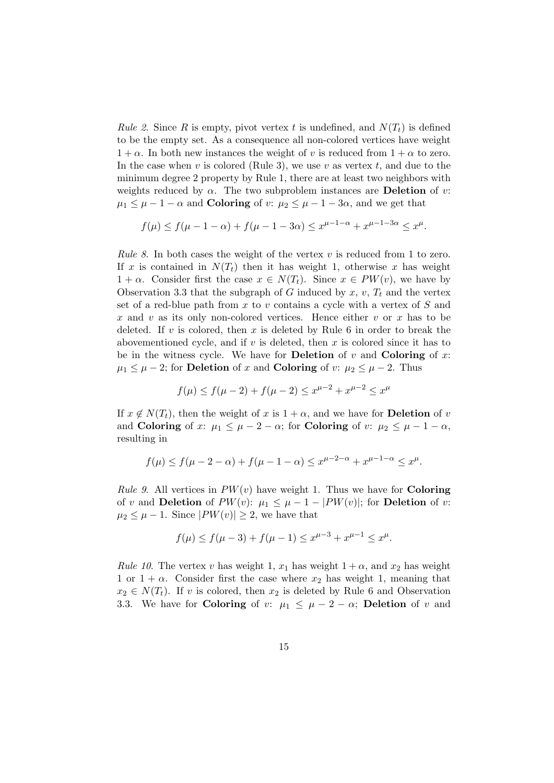*Rule 2.* Since *R* is empty, pivot vertex *t* is undefined, and  $N(T_t)$  is defined to be the empty set. As a consequence all non-colored vertices have weight  $1 + \alpha$ . In both new instances the weight of *v* is reduced from  $1 + \alpha$  to zero. In the case when *v* is colored (Rule 3), we use *v* as vertex *t*, and due to the minimum degree 2 property by Rule 1, there are at least two neighbors with weights reduced by  $\alpha$ . The two subproblem instances are **Deletion** of *v*:  $\mu_1 \leq \mu - 1 - \alpha$  and **Coloring** of *v*:  $\mu_2 \leq \mu - 1 - 3\alpha$ , and we get that

$$
f(\mu) \le f(\mu - 1 - \alpha) + f(\mu - 1 - 3\alpha) \le x^{\mu - 1 - \alpha} + x^{\mu - 1 - 3\alpha} \le x^{\mu}.
$$

*Rule 8*. In both cases the weight of the vertex *v* is reduced from 1 to zero. If *x* is contained in  $N(T_t)$  then it has weight 1, otherwise *x* has weight  $1 + \alpha$ . Consider first the case  $x \in N(T_t)$ . Since  $x \in PW(v)$ , we have by Observation 3.3 that the subgraph of *G* induced by  $x, v, T_t$  and the vertex set of a red-blue path from *x* to *v* contains a cycle with a vertex of *S* and *x* and *v* as its only non-colored vertices. Hence either *v* or *x* has to be deleted. If *v* is colored, then *x* is deleted by Rule 6 in order to break the abovementioned cycle, and if *v* is deleted, then *x* is colored since it has to be in the witness cycle. We have for **Deletion** of *v* and **Coloring** of *x*:  $\mu_1 \leq \mu - 2$ ; for **Deletion** of *x* and **Coloring** of *v*:  $\mu_2 \leq \mu - 2$ . Thus

$$
f(\mu) \le f(\mu - 2) + f(\mu - 2) \le x^{\mu - 2} + x^{\mu - 2} \le x^{\mu}
$$

If  $x \notin N(T_t)$ , then the weight of *x* is  $1 + \alpha$ , and we have for **Deletion** of *v* and **Coloring** of *x*:  $\mu_1 \leq \mu - 2 - \alpha$ ; for **Coloring** of *v*:  $\mu_2 \leq \mu - 1 - \alpha$ , resulting in

$$
f(\mu) \le f(\mu - 2 - \alpha) + f(\mu - 1 - \alpha) \le x^{\mu - 2 - \alpha} + x^{\mu - 1 - \alpha} \le x^{\mu}.
$$

*Rule 9.* All vertices in  $PW(v)$  have weight 1. Thus we have for **Coloring** of *v* and **Deletion** of  $PW(v)$ :  $\mu_1 \leq \mu - 1 - |PW(v)|$ ; for **Deletion** of *v*:  $\mu_2 \leq \mu - 1$ . Since  $|PW(v)| \geq 2$ , we have that

$$
f(\mu) \le f(\mu - 3) + f(\mu - 1) \le x^{\mu - 3} + x^{\mu - 1} \le x^{\mu}.
$$

*Rule 10*. The vertex *v* has weight 1,  $x_1$  has weight  $1 + \alpha$ , and  $x_2$  has weight 1 or  $1 + \alpha$ . Consider first the case where  $x_2$  has weight 1, meaning that  $x_2 \in N(T_t)$ . If *v* is colored, then  $x_2$  is deleted by Rule 6 and Observation 3.3. We have for **Coloring** of *v*:  $\mu_1 \leq \mu - 2 - \alpha$ ; **Deletion** of *v* and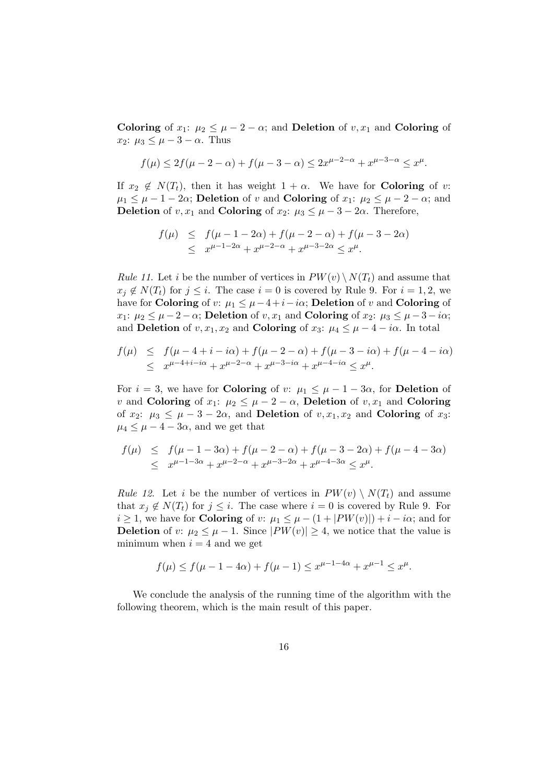**Coloring** of  $x_1$ :  $\mu_2 \leq \mu - 2 - \alpha$ ; and **Deletion** of  $v, x_1$  and **Coloring** of  $x_2$ :  $\mu_3 \leq \mu - 3 - \alpha$ . Thus

$$
f(\mu) \le 2f(\mu - 2 - \alpha) + f(\mu - 3 - \alpha) \le 2x^{\mu - 2 - \alpha} + x^{\mu - 3 - \alpha} \le x^{\mu}.
$$

If  $x_2 \notin N(T_t)$ , then it has weight  $1 + \alpha$ . We have for **Coloring** of *v*:  $\mu_1 \leq \mu - 1 - 2\alpha$ ; **Deletion** of *v* and **Coloring** of *x*<sub>1</sub>:  $\mu_2 \leq \mu - 2 - \alpha$ ; and **Deletion** of *v*, *x*<sub>1</sub> and **Coloring** of *x*<sub>2</sub>:  $\mu$ <sub>3</sub>  $\leq \mu$  – 3 – 2 $\alpha$ . Therefore,

$$
f(\mu) \leq f(\mu - 1 - 2\alpha) + f(\mu - 2 - \alpha) + f(\mu - 3 - 2\alpha)
$$
  
\$\leq\$  $x^{\mu - 1 - 2\alpha} + x^{\mu - 2 - \alpha} + x^{\mu - 3 - 2\alpha} \leq x^{\mu}.$ 

*Rule 11.* Let *i* be the number of vertices in  $PW(v) \setminus N(T_t)$  and assume that  $x_i \notin N(T_t)$  for  $j \leq i$ . The case  $i = 0$  is covered by Rule 9. For  $i = 1, 2$ , we have for **Coloring** of *v*:  $\mu_1 \leq \mu - 4 + i - i\alpha$ ; **Deletion** of *v* and **Coloring** of *x*<sub>1</sub>:  $\mu_2 \leq \mu - 2 - \alpha$ ; **Deletion** of *v*, *x*<sub>1</sub> and **Coloring** of *x*<sub>2</sub>:  $\mu_3 \leq \mu - 3 - i\alpha$ ; and **Deletion** of  $v, x_1, x_2$  and **Coloring** of  $x_3$ :  $\mu_4 \leq \mu - 4 - i\alpha$ . In total

$$
f(\mu) \leq f(\mu - 4 + i - i\alpha) + f(\mu - 2 - \alpha) + f(\mu - 3 - i\alpha) + f(\mu - 4 - i\alpha)
$$
  
\$\leq\$  $x^{\mu - 4 + i - i\alpha} + x^{\mu - 2 - \alpha} + x^{\mu - 3 - i\alpha} + x^{\mu - 4 - i\alpha} \leq x^{\mu}.$ 

For  $i = 3$ , we have for **Coloring** of *v*:  $\mu_1 \leq \mu - 1 - 3\alpha$ , for **Deletion** of *v* and **Coloring** of  $x_1$ :  $\mu_2 \leq \mu - 2 - \alpha$ , **Deletion** of *v, x*<sub>1</sub> and **Coloring** of  $x_2$ :  $\mu_3 \leq \mu - 3 - 2\alpha$ , and **Deletion** of  $v, x_1, x_2$  and **Coloring** of  $x_3$ :  $\mu_4 \leq \mu - 4 - 3\alpha$ , and we get that

$$
f(\mu) \leq f(\mu - 1 - 3\alpha) + f(\mu - 2 - \alpha) + f(\mu - 3 - 2\alpha) + f(\mu - 4 - 3\alpha)
$$
  

$$
\leq x^{\mu - 1 - 3\alpha} + x^{\mu - 2 - \alpha} + x^{\mu - 3 - 2\alpha} + x^{\mu - 4 - 3\alpha} \leq x^{\mu}.
$$

*Rule 12.* Let *i* be the number of vertices in  $PW(v) \setminus N(T_t)$  and assume that  $x_j \notin N(T_t)$  for  $j \leq i$ . The case where  $i = 0$  is covered by Rule 9. For  $i \geq 1$ , we have for **Coloring** of *v*:  $\mu_1 \leq \mu - (1 + |PW(v)|) + i - i\alpha$ ; and for **Deletion** of *v*:  $\mu_2 \leq \mu - 1$ . Since  $|PW(v)| \geq 4$ , we notice that the value is minimum when  $i = 4$  and we get

$$
f(\mu) \le f(\mu - 1 - 4\alpha) + f(\mu - 1) \le x^{\mu - 1 - 4\alpha} + x^{\mu - 1} \le x^{\mu}.
$$

We conclude the analysis of the running time of the algorithm with the following theorem, which is the main result of this paper.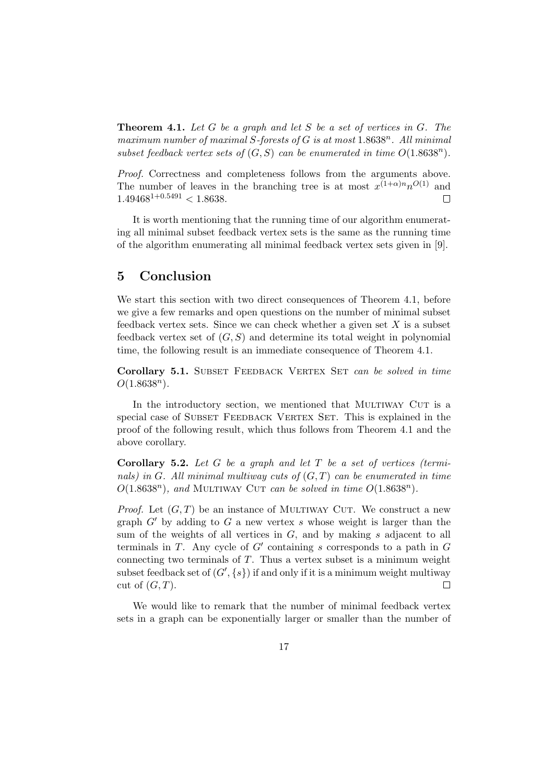**Theorem 4.1.** *Let G be a graph and let S be a set of vertices in G. The maximum number of maximal S-forests of G is at most* 1*.*8638*<sup>n</sup> . All minimal subset feedback vertex sets of*  $(G, S)$  *can be enumerated in time*  $O(1.8638^n)$ *.* 

*Proof.* Correctness and completeness follows from the arguments above. The number of leaves in the branching tree is at most  $x^{(1+\alpha)n}n^{O(1)}$  and  $1.49468^{1+0.5491} < 1.8638$ .  $\Box$ 

It is worth mentioning that the running time of our algorithm enumerating all minimal subset feedback vertex sets is the same as the running time of the algorithm enumerating all minimal feedback vertex sets given in [9].

## **5 Conclusion**

We start this section with two direct consequences of Theorem 4.1, before we give a few remarks and open questions on the number of minimal subset feedback vertex sets. Since we can check whether a given set *X* is a subset feedback vertex set of  $(G, S)$  and determine its total weight in polynomial time, the following result is an immediate consequence of Theorem 4.1.

Corollary 5.1. SUBSET FEEDBACK VERTEX SET *can be solved in time O*(1*.*8638*<sup>n</sup>* )*.*

In the introductory section, we mentioned that MULTIWAY CUT is a special case of SUBSET FEEDBACK VERTEX SET. This is explained in the proof of the following result, which thus follows from Theorem 4.1 and the above corollary.

**Corollary 5.2.** *Let G be a graph and let T be a set of vertices (terminals) in G. All minimal multiway cuts of* (*G, T*) *can be enumerated in time*  $O(1.8638^n)$ , and MULTIWAY CUT *can be solved in time*  $O(1.8638^n)$ .

*Proof.* Let  $(G, T)$  be an instance of MULTIWAY CUT. We construct a new graph *G′* by adding to *G* a new vertex *s* whose weight is larger than the sum of the weights of all vertices in *G*, and by making *s* adjacent to all terminals in *T*. Any cycle of *G′* containing *s* corresponds to a path in *G* connecting two terminals of *T*. Thus a vertex subset is a minimum weight subset feedback set of (*G′ , {s}*) if and only if it is a minimum weight multiway cut of (*G, T*).  $\Box$ 

We would like to remark that the number of minimal feedback vertex sets in a graph can be exponentially larger or smaller than the number of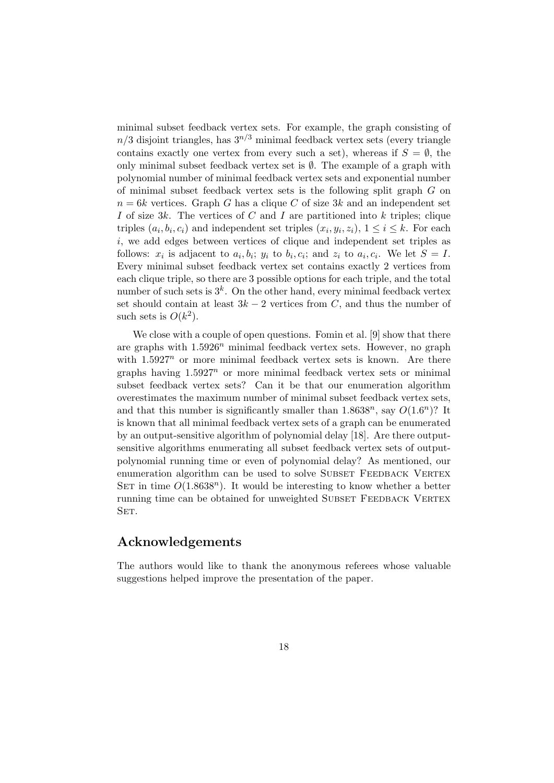minimal subset feedback vertex sets. For example, the graph consisting of  $n/3$  disjoint triangles, has  $3^{n/3}$  minimal feedback vertex sets (every triangle contains exactly one vertex from every such a set), whereas if  $S = \emptyset$ , the only minimal subset feedback vertex set is *∅*. The example of a graph with polynomial number of minimal feedback vertex sets and exponential number of minimal subset feedback vertex sets is the following split graph *G* on  $n = 6k$  vertices. Graph *G* has a clique *C* of size 3*k* and an independent set *I* of size 3*k*. The vertices of *C* and *I* are partitioned into *k* triples; clique triples  $(a_i, b_i, c_i)$  and independent set triples  $(x_i, y_i, z_i)$ ,  $1 \leq i \leq k$ . For each *i*, we add edges between vertices of clique and independent set triples as follows:  $x_i$  is adjacent to  $a_i, b_i$ ;  $y_i$  to  $b_i, c_i$ ; and  $z_i$  to  $a_i, c_i$ . We let  $S = I$ . Every minimal subset feedback vertex set contains exactly 2 vertices from each clique triple, so there are 3 possible options for each triple, and the total number of such sets is  $3^k$ . On the other hand, every minimal feedback vertex set should contain at least  $3k - 2$  vertices from *C*, and thus the number of such sets is  $O(k^2)$ .

We close with a couple of open questions. Fomin et al. [9] show that there are graphs with 1*.*5926*<sup>n</sup>* minimal feedback vertex sets. However, no graph with  $1.5927<sup>n</sup>$  or more minimal feedback vertex sets is known. Are there graphs having 1*.*5927*<sup>n</sup>* or more minimal feedback vertex sets or minimal subset feedback vertex sets? Can it be that our enumeration algorithm overestimates the maximum number of minimal subset feedback vertex sets, and that this number is significantly smaller than  $1.8638^n$ , say  $O(1.6^n)$ ? It is known that all minimal feedback vertex sets of a graph can be enumerated by an output-sensitive algorithm of polynomial delay [18]. Are there outputsensitive algorithms enumerating all subset feedback vertex sets of outputpolynomial running time or even of polynomial delay? As mentioned, our enumeration algorithm can be used to solve SUBSET FEEDBACK VERTEX SET in time  $O(1.8638^n)$ . It would be interesting to know whether a better running time can be obtained for unweighted SUBSET FEEDBACK VERTEX SET.

#### **Acknowledgements**

The authors would like to thank the anonymous referees whose valuable suggestions helped improve the presentation of the paper.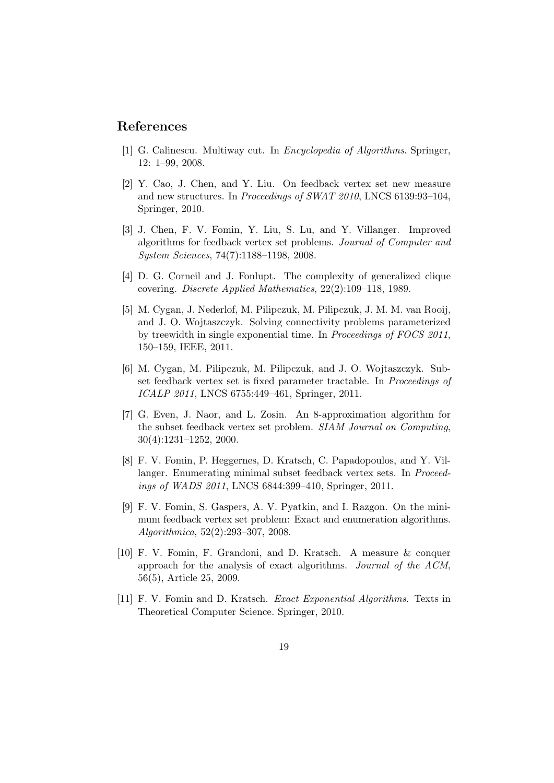## **References**

- [1] G. Calinescu. Multiway cut. In *Encyclopedia of Algorithms*. Springer, 12: 1–99, 2008.
- [2] Y. Cao, J. Chen, and Y. Liu. On feedback vertex set new measure and new structures. In *Proceedings of SWAT 2010*, LNCS 6139:93–104, Springer, 2010.
- [3] J. Chen, F. V. Fomin, Y. Liu, S. Lu, and Y. Villanger. Improved algorithms for feedback vertex set problems. *Journal of Computer and System Sciences*, 74(7):1188–1198, 2008.
- [4] D. G. Corneil and J. Fonlupt. The complexity of generalized clique covering. *Discrete Applied Mathematics*, 22(2):109–118, 1989.
- [5] M. Cygan, J. Nederlof, M. Pilipczuk, M. Pilipczuk, J. M. M. van Rooij, and J. O. Wojtaszczyk. Solving connectivity problems parameterized by treewidth in single exponential time. In *Proceedings of FOCS 2011*, 150–159, IEEE, 2011.
- [6] M. Cygan, M. Pilipczuk, M. Pilipczuk, and J. O. Wojtaszczyk. Subset feedback vertex set is fixed parameter tractable. In *Proceedings of ICALP 2011*, LNCS 6755:449–461, Springer, 2011.
- [7] G. Even, J. Naor, and L. Zosin. An 8-approximation algorithm for the subset feedback vertex set problem. *SIAM Journal on Computing*, 30(4):1231–1252, 2000.
- [8] F. V. Fomin, P. Heggernes, D. Kratsch, C. Papadopoulos, and Y. Villanger. Enumerating minimal subset feedback vertex sets. In *Proceedings of WADS 2011*, LNCS 6844:399–410, Springer, 2011.
- [9] F. V. Fomin, S. Gaspers, A. V. Pyatkin, and I. Razgon. On the minimum feedback vertex set problem: Exact and enumeration algorithms. *Algorithmica*, 52(2):293–307, 2008.
- [10] F. V. Fomin, F. Grandoni, and D. Kratsch. A measure & conquer approach for the analysis of exact algorithms. *Journal of the ACM*, 56(5), Article 25, 2009.
- [11] F. V. Fomin and D. Kratsch. *Exact Exponential Algorithms*. Texts in Theoretical Computer Science. Springer, 2010.